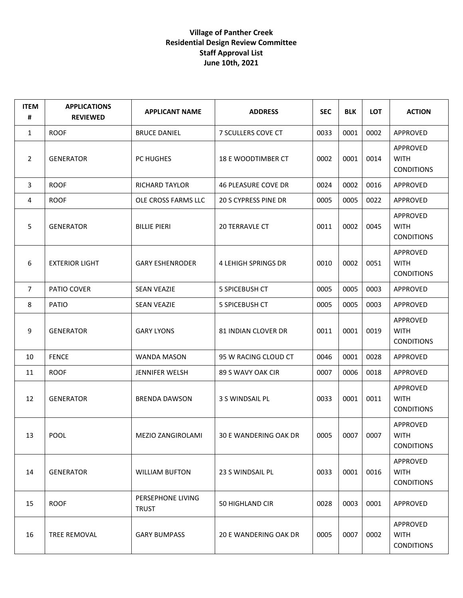## **Village of Panther Creek Residential Design Review Committee Staff Approval List June 10th, 2021**

| <b>ITEM</b><br># | <b>APPLICATIONS</b><br><b>REVIEWED</b> | <b>APPLICANT NAME</b>             | <b>ADDRESS</b>             | <b>SEC</b> | <b>BLK</b> | <b>LOT</b> | <b>ACTION</b>                                       |
|------------------|----------------------------------------|-----------------------------------|----------------------------|------------|------------|------------|-----------------------------------------------------|
| $\mathbf{1}$     | <b>ROOF</b>                            | <b>BRUCE DANIEL</b>               | 7 SCULLERS COVE CT         | 0033       | 0001       | 0002       | APPROVED                                            |
| $\overline{2}$   | <b>GENERATOR</b>                       | PC HUGHES                         | 18 E WOODTIMBER CT         | 0002       | 0001       | 0014       | APPROVED<br><b>WITH</b><br><b>CONDITIONS</b>        |
| 3                | <b>ROOF</b>                            | <b>RICHARD TAYLOR</b>             | <b>46 PLEASURE COVE DR</b> | 0024       | 0002       | 0016       | APPROVED                                            |
| 4                | <b>ROOF</b>                            | OLE CROSS FARMS LLC               | 20 S CYPRESS PINE DR       | 0005       | 0005       | 0022       | <b>APPROVED</b>                                     |
| 5                | <b>GENERATOR</b>                       | <b>BILLIE PIERI</b>               | <b>20 TERRAVLE CT</b>      | 0011       | 0002       | 0045       | APPROVED<br><b>WITH</b><br><b>CONDITIONS</b>        |
| 6                | <b>EXTERIOR LIGHT</b>                  | <b>GARY ESHENRODER</b>            | <b>4 LEHIGH SPRINGS DR</b> | 0010       | 0002       | 0051       | APPROVED<br><b>WITH</b><br><b>CONDITIONS</b>        |
| $\overline{7}$   | PATIO COVER                            | <b>SEAN VEAZIE</b>                | <b>5 SPICEBUSH CT</b>      | 0005       | 0005       | 0003       | APPROVED                                            |
| 8                | <b>PATIO</b>                           | <b>SEAN VEAZIE</b>                | <b>5 SPICEBUSH CT</b>      | 0005       | 0005       | 0003       | APPROVED                                            |
| 9                | <b>GENERATOR</b>                       | <b>GARY LYONS</b>                 | 81 INDIAN CLOVER DR        | 0011       | 0001       | 0019       | APPROVED<br><b>WITH</b><br><b>CONDITIONS</b>        |
| 10               | <b>FENCE</b>                           | <b>WANDA MASON</b>                | 95 W RACING CLOUD CT       | 0046       | 0001       | 0028       | APPROVED                                            |
| 11               | <b>ROOF</b>                            | JENNIFER WELSH                    | 89 S WAVY OAK CIR          | 0007       | 0006       | 0018       | APPROVED                                            |
| 12               | <b>GENERATOR</b>                       | <b>BRENDA DAWSON</b>              | 3 S WINDSAIL PL            | 0033       | 0001       | 0011       | <b>APPROVED</b><br><b>WITH</b><br><b>CONDITIONS</b> |
| 13               | <b>POOL</b>                            | MEZIO ZANGIROLAMI                 | 30 E WANDERING OAK DR      | 0005       | 0007       | 0007       | APPROVED<br><b>WITH</b><br><b>CONDITIONS</b>        |
| 14               | <b>GENERATOR</b>                       | <b>WILLIAM BUFTON</b>             | 23 S WINDSAIL PL           | 0033       | 0001       | 0016       | APPROVED<br><b>WITH</b><br><b>CONDITIONS</b>        |
| 15               | <b>ROOF</b>                            | PERSEPHONE LIVING<br><b>TRUST</b> | 50 HIGHLAND CIR            | 0028       | 0003       | 0001       | APPROVED                                            |
| 16               | TREE REMOVAL                           | <b>GARY BUMPASS</b>               | 20 E WANDERING OAK DR      | 0005       | 0007       | 0002       | APPROVED<br><b>WITH</b><br><b>CONDITIONS</b>        |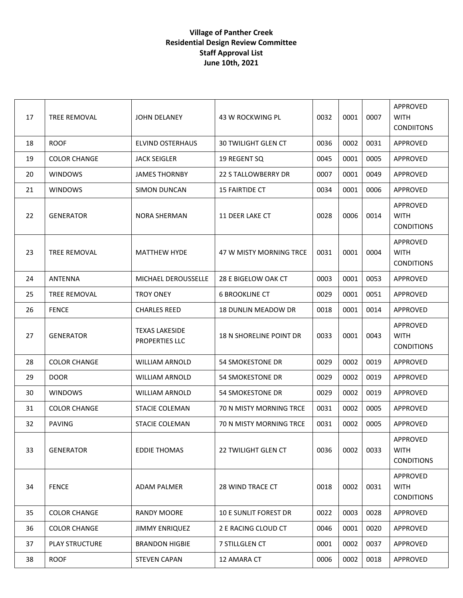## **Village of Panther Creek Residential Design Review Committee Staff Approval List June 10th, 2021**

| 17 | <b>TREE REMOVAL</b>   | JOHN DELANEY                                   | 43 W ROCKWING PL               | 0032 | 0001 | 0007 | APPROVED<br><b>WITH</b><br><b>CONDIITONS</b> |
|----|-----------------------|------------------------------------------------|--------------------------------|------|------|------|----------------------------------------------|
| 18 | <b>ROOF</b>           | <b>ELVIND OSTERHAUS</b>                        | <b>30 TWILIGHT GLEN CT</b>     | 0036 | 0002 | 0031 | APPROVED                                     |
| 19 | <b>COLOR CHANGE</b>   | <b>JACK SEIGLER</b>                            | 19 REGENT SQ                   | 0045 | 0001 | 0005 | APPROVED                                     |
| 20 | <b>WINDOWS</b>        | JAMES THORNBY                                  | 22 S TALLOWBERRY DR            | 0007 | 0001 | 0049 | APPROVED                                     |
| 21 | <b>WINDOWS</b>        | <b>SIMON DUNCAN</b>                            | <b>15 FAIRTIDE CT</b>          | 0034 | 0001 | 0006 | APPROVED                                     |
| 22 | <b>GENERATOR</b>      | NORA SHERMAN                                   | 11 DEER LAKE CT                | 0028 | 0006 | 0014 | APPROVED<br><b>WITH</b><br><b>CONDITIONS</b> |
| 23 | <b>TREE REMOVAL</b>   | <b>MATTHEW HYDE</b>                            | 47 W MISTY MORNING TRCE        | 0031 | 0001 | 0004 | APPROVED<br><b>WITH</b><br><b>CONDITIONS</b> |
| 24 | ANTENNA               | MICHAEL DEROUSSELLE                            | 28 E BIGELOW OAK CT            | 0003 | 0001 | 0053 | APPROVED                                     |
| 25 | <b>TREE REMOVAL</b>   | <b>TROY ONEY</b>                               | <b>6 BROOKLINE CT</b>          | 0029 | 0001 | 0051 | APPROVED                                     |
| 26 | <b>FENCE</b>          | <b>CHARLES REED</b>                            | <b>18 DUNLIN MEADOW DR</b>     | 0018 | 0001 | 0014 | APPROVED                                     |
| 27 | <b>GENERATOR</b>      | <b>TEXAS LAKESIDE</b><br><b>PROPERTIES LLC</b> | <b>18 N SHORELINE POINT DR</b> | 0033 | 0001 | 0043 | APPROVED<br><b>WITH</b><br><b>CONDITIONS</b> |
| 28 | <b>COLOR CHANGE</b>   | <b>WILLIAM ARNOLD</b>                          | 54 SMOKESTONE DR               | 0029 | 0002 | 0019 | APPROVED                                     |
| 29 | <b>DOOR</b>           | <b>WILLIAM ARNOLD</b>                          | 54 SMOKESTONE DR               | 0029 | 0002 | 0019 | APPROVED                                     |
| 30 | <b>WINDOWS</b>        | <b>WILLIAM ARNOLD</b>                          | <b>54 SMOKESTONE DR</b>        | 0029 | 0002 | 0019 | <b>APPROVED</b>                              |
| 31 | <b>COLOR CHANGE</b>   | <b>STACIE COLEMAN</b>                          | 70 N MISTY MORNING TRCE        | 0031 | 0002 | 0005 | <b>APPROVED</b>                              |
| 32 | <b>PAVING</b>         | <b>STACIE COLEMAN</b>                          | <b>70 N MISTY MORNING TRCE</b> | 0031 | 0002 | 0005 | APPROVED                                     |
| 33 | <b>GENERATOR</b>      | <b>EDDIE THOMAS</b>                            | 22 TWILIGHT GLEN CT            | 0036 | 0002 | 0033 | APPROVED<br><b>WITH</b><br><b>CONDITIONS</b> |
| 34 | <b>FENCE</b>          | <b>ADAM PALMER</b>                             | 28 WIND TRACE CT               | 0018 | 0002 | 0031 | APPROVED<br><b>WITH</b><br><b>CONDITIONS</b> |
| 35 | <b>COLOR CHANGE</b>   | <b>RANDY MOORE</b>                             | <b>10 E SUNLIT FOREST DR</b>   | 0022 | 0003 | 0028 | APPROVED                                     |
| 36 | <b>COLOR CHANGE</b>   | <b>JIMMY ENRIQUEZ</b>                          | 2 E RACING CLOUD CT            | 0046 | 0001 | 0020 | <b>APPROVED</b>                              |
| 37 | <b>PLAY STRUCTURE</b> | <b>BRANDON HIGBIE</b>                          | 7 STILLGLEN CT                 | 0001 | 0002 | 0037 | APPROVED                                     |
| 38 | <b>ROOF</b>           | <b>STEVEN CAPAN</b>                            | 12 AMARA CT                    | 0006 | 0002 | 0018 | APPROVED                                     |